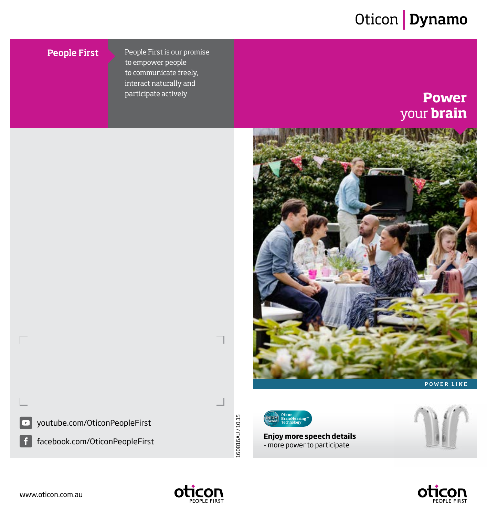### Oticon | Dynamo

#### **People First**

People First is our promise to empower people to communicate freely, interact naturally and participate actively **POWER** 

# your **brain**





**Enjoy more speech details**  - more power to participate



OTICON

youtube.com/OticonPeopleFirst

facebook.com/OticonPeopleFirst

160816AU / 10.15

L60816AU/10.15

⊏

l f

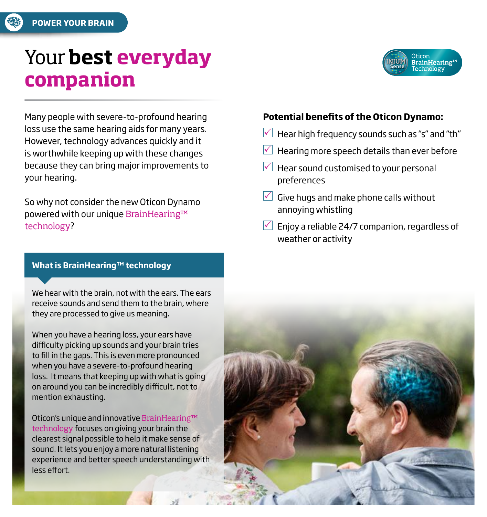

### Your **best everyday companion**

Many people with severe-to-profound hearing loss use the same hearing aids for many years. However, technology advances quickly and it is worthwhile keeping up with these changes because they can bring major improvements to your hearing.

So why not consider the new Oticon Dynamo powered with our unique BrainHearing™ technology?

#### **What is BrainHearing™ technology**

We hear with the brain, not with the ears. The ears receive sounds and send them to the brain, where they are processed to give us meaning.

When you have a hearing loss, your ears have difficulty picking up sounds and your brain tries to fill in the gaps. This is even more pronounced when you have a severe-to-profound hearing loss. It means that keeping up with what is going on around you can be incredibly difficult, not to mention exhausting.

Oticon's unique and innovative BrainHearing™ technology focuses on giving your brain the clearest signal possible to help it make sense of sound. It lets you enjoy a more natural listening experience and better speech understanding with less effort.

#### **Potential benefits of the Oticon Dynamo:**

- Hear high frequency sounds such as "s" and "th"
- Hearing more speech details than ever before
- $\vee$  Hear sound customised to your personal preferences
- $\vee$  Give hugs and make phone calls without annoying whistling
- $\vee$  Enjoy a reliable 24/7 companion, regardless of weather or activity



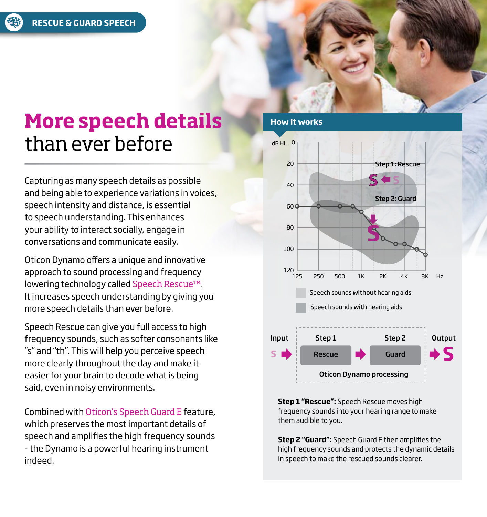

### **More speech details** than ever before

Capturing as many speech details as possible and being able to experience variations in voices, speech intensity and distance, is essential to speech understanding. This enhances your ability to interact socially, engage in conversations and communicate easily.

Oticon Dynamo offers a unique and innovative approach to sound processing and frequency lowering technology called Speech Rescue™. It increases speech understanding by giving you more speech details than ever before.

Speech Rescue can give you full access to high frequency sounds, such as softer consonants like "s" and "th". This will help you perceive speech more clearly throughout the day and make it easier for your brain to decode what is being said, even in noisy environments.

Combined with Oticon's Speech Guard E feature, which preserves the most important details of speech and amplifies the high frequency sounds - the Dynamo is a powerful hearing instrument indeed.

#### **How it works**



**Step 1 "Rescue":** Speech Rescue moves high frequency sounds into your hearing range to make them audible to you.

**Step 2 "Guard":** Speech Guard E then amplifies the high frequency sounds and protects the dynamic details in speech to make the rescued sounds clearer.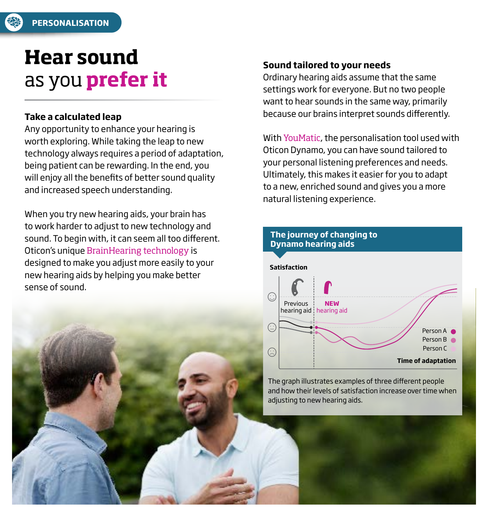

### **Hear sound** as you **prefer it**

#### **Take a calculated leap**

Any opportunity to enhance your hearing is worth exploring. While taking the leap to new technology always requires a period of adaptation, being patient can be rewarding. In the end, you will enjoy all the benefits of better sound quality and increased speech understanding.

When you try new hearing aids, your brain has to work harder to adjust to new technology and sound. To begin with, it can seem all too different. Oticon's unique BrainHearing technology is designed to make you adjust more easily to your new hearing aids by helping you make better sense of sound.

#### **Sound tailored to your needs**

Ordinary hearing aids assume that the same settings work for everyone. But no two people want to hear sounds in the same way, primarily because our brains interpret sounds differently.

With YouMatic, the personalisation tool used with Oticon Dynamo, you can have sound tailored to your personal listening preferences and needs. Ultimately, this makes it easier for you to adapt to a new, enriched sound and gives you a more natural listening experience.



The graph illustrates examples of three different people and how their levels of satisfaction increase over time when adjusting to new hearing aids.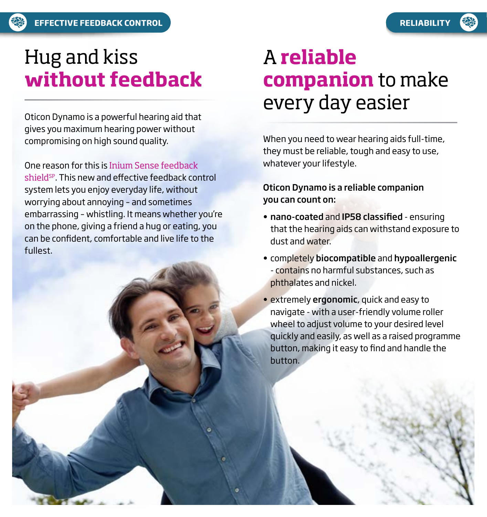## Hug and kiss **without feedback**

Oticon Dynamo is a powerful hearing aid that gives you maximum hearing power without compromising on high sound quality.

One reason for this is Inium Sense feedback shield<sup>sp</sup>. This new and effective feedback control system lets you enjoy everyday life, without worrying about annoying – and sometimes embarrassing – whistling. It means whether you're on the phone, giving a friend a hug or eating, you can be confident, comfortable and live life to the fullest.

### A **reliable companion** to make every day easier

When you need to wear hearing aids full-time, they must be reliable, tough and easy to use, whatever your lifestyle.

#### Oticon Dynamo is a reliable companion you can count on:

- nano-coated and IP58 classified ensuring that the hearing aids can withstand exposure to dust and water.
- completely biocompatible and hypoallergenic - contains no harmful substances, such as phthalates and nickel.
- extremely ergonomic, quick and easy to navigate - with a user-friendly volume roller wheel to adjust volume to your desired level quickly and easily, as well as a raised programme button, making it easy to find and handle the button.